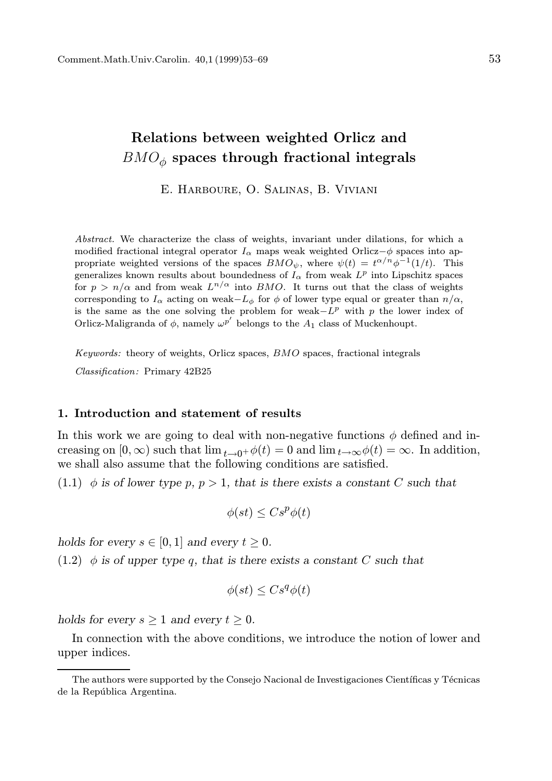# Relations between weighted Orlicz and  $BMO_{\phi}$  spaces through fractional integrals

E. Harboure, O. Salinas, B. Viviani

Abstract. We characterize the class of weights, invariant under dilations, for which a modified fractional integral operator  $I_{\alpha}$  maps weak weighted Orlicz– $\phi$  spaces into appropriate weighted versions of the spaces  $\overline{BMO}_{\psi}$ , where  $\psi(t) = t^{\alpha/n} \phi^{-1}(1/t)$ . This generalizes known results about boundedness of  $I_{\alpha}$  from weak  $L^p$  into Lipschitz spaces for  $p > n/\alpha$  and from weak  $L^{n/\alpha}$  into BMO. It turns out that the class of weights corresponding to  $I_{\alpha}$  acting on weak- $L_{\phi}$  for  $\phi$  of lower type equal or greater than  $n/\alpha$ , is the same as the one solving the problem for weak $-L^p$  with p the lower index of Orlicz-Maligranda of  $\phi$ , namely  $\omega^{p'}$  belongs to the  $A_1$  class of Muckenhoupt.

Keywords: theory of weights, Orlicz spaces, BMO spaces, fractional integrals Classification: Primary 42B25

# 1. Introduction and statement of results

In this work we are going to deal with non-negative functions  $\phi$  defined and increasing on  $[0, \infty)$  such that  $\lim_{t\to 0^+} \phi(t) = 0$  and  $\lim_{t\to \infty} \phi(t) = \infty$ . In addition, we shall also assume that the following conditions are satisfied.

(1.1)  $\phi$  is of lower type p,  $p > 1$ , that is there exists a constant C such that

$$
\phi(st) \leq Cs^p\phi(t)
$$

holds for every  $s \in [0, 1]$  and every  $t \geq 0$ .

 $(1.2)$  φ is of upper type q, that is there exists a constant C such that

$$
\phi(st) \leq Cs^q\phi(t)
$$

holds for every  $s \geq 1$  and every  $t \geq 0$ .

In connection with the above conditions, we introduce the notion of lower and upper indices.

The authors were supported by the Consejo Nacional de Investigaciones Científicas y Técnicas de la República Argentina.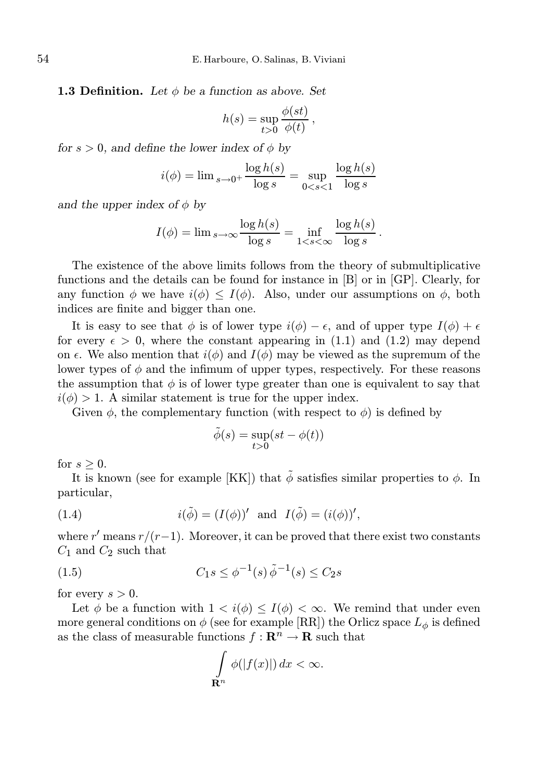**1.3 Definition.** Let  $\phi$  be a function as above. Set

$$
h(s) = \sup_{t>0} \frac{\phi(st)}{\phi(t)},
$$

for  $s > 0$ , and define the lower index of  $\phi$  by

$$
i(\phi) = \lim_{s \to 0^+} \frac{\log h(s)}{\log s} = \sup_{0 < s < 1} \frac{\log h(s)}{\log s}
$$

and the upper index of  $\phi$  by

$$
I(\phi) = \lim_{s \to \infty} \frac{\log h(s)}{\log s} = \inf_{1 < s < \infty} \frac{\log h(s)}{\log s}.
$$

The existence of the above limits follows from the theory of submultiplicative functions and the details can be found for instance in [B] or in [GP]. Clearly, for any function  $\phi$  we have  $i(\phi) \leq I(\phi)$ . Also, under our assumptions on  $\phi$ , both indices are finite and bigger than one.

It is easy to see that  $\phi$  is of lower type  $i(\phi) - \epsilon$ , and of upper type  $I(\phi) + \epsilon$ for every  $\epsilon > 0$ , where the constant appearing in (1.1) and (1.2) may depend on  $\epsilon$ . We also mention that  $i(\phi)$  and  $I(\phi)$  may be viewed as the supremum of the lower types of  $\phi$  and the infimum of upper types, respectively. For these reasons the assumption that  $\phi$  is of lower type greater than one is equivalent to say that  $i(\phi) > 1$ . A similar statement is true for the upper index.

Given  $\phi$ , the complementary function (with respect to  $\phi$ ) is defined by

$$
\tilde{\phi}(s) = \sup_{t>0} (st - \phi(t))
$$

for  $s > 0$ .

It is known (see for example [KK]) that  $\tilde{\phi}$  satisfies similar properties to  $\phi$ . In particular,

(1.4) 
$$
i(\tilde{\phi}) = (I(\phi))' \text{ and } I(\tilde{\phi}) = (i(\phi))',
$$

where r' means  $r/(r-1)$ . Moreover, it can be proved that there exist two constants  $C_1$  and  $C_2$  such that

(1.5) 
$$
C_1 s \le \phi^{-1}(s) \tilde{\phi}^{-1}(s) \le C_2 s
$$

for every  $s > 0$ .

Let  $\phi$  be a function with  $1 < i(\phi) \leq I(\phi) < \infty$ . We remind that under even more general conditions on  $\phi$  (see for example [RR]) the Orlicz space  $L_{\phi}$  is defined as the class of measurable functions  $f: \mathbb{R}^n \to \mathbb{R}$  such that

$$
\int_{\mathbf{R}^n} \phi(|f(x)|) dx < \infty.
$$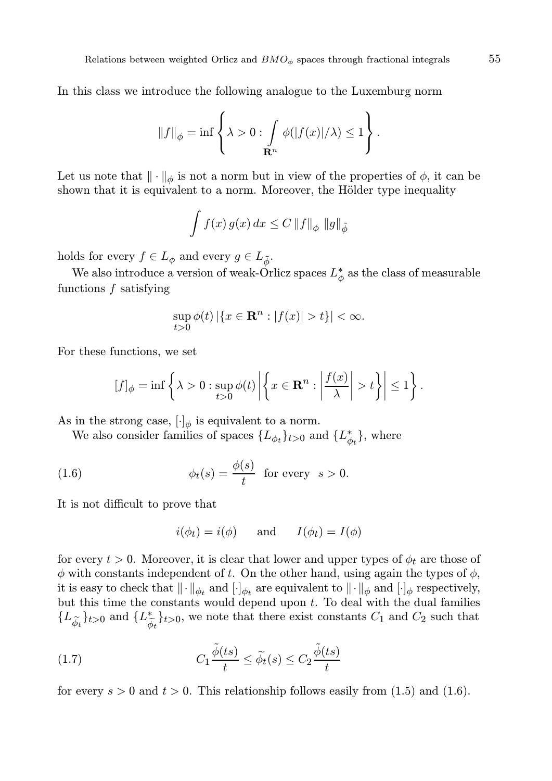In this class we introduce the following analogue to the Luxemburg norm

$$
||f||_{\phi} = \inf \left\{ \lambda > 0 : \int_{\mathbf{R}^n} \phi(|f(x)|/\lambda) \leq 1 \right\}.
$$

Let us note that  $\|\cdot\|_{\phi}$  is not a norm but in view of the properties of  $\phi$ , it can be shown that it is equivalent to a norm. Moreover, the Hölder type inequality

$$
\int f(x) g(x) dx \leq C ||f||_{\phi} ||g||_{\tilde{\phi}}
$$

holds for every  $f \in L_{\phi}$  and every  $g \in L_{\tilde{\phi}}$ .

We also introduce a version of weak-Orlicz spaces  $L^*_{\phi}$  as the class of measurable functions f satisfying

$$
\sup_{t>0}\phi(t)\left|\left\{x\in\mathbf{R}^n:|f(x)|>t\right\}\right|<\infty.
$$

For these functions, we set

$$
[f]_{\phi} = \inf \left\{ \lambda > 0 : \sup_{t>0} \phi(t) \left| \left\{ x \in \mathbf{R}^n : \left| \frac{f(x)}{\lambda} \right| > t \right\} \right| \leq 1 \right\}.
$$

As in the strong case,  $[\cdot]_{\phi}$  is equivalent to a norm.

We also consider families of spaces  $\{L_{\phi_t}\}_{t>0}$  and  $\{L_{\phi_t}^*\}$ , where

(1.6) 
$$
\phi_t(s) = \frac{\phi(s)}{t} \text{ for every } s > 0.
$$

It is not difficult to prove that

$$
i(\phi_t) = i(\phi)
$$
 and  $I(\phi_t) = I(\phi)$ 

for every  $t > 0$ . Moreover, it is clear that lower and upper types of  $\phi_t$  are those of  $\phi$  with constants independent of t. On the other hand, using again the types of  $\phi$ , it is easy to check that  $\|\cdot\|_{\phi_t}$  and  $[\cdot]_{\phi_t}$  are equivalent to  $\|\cdot\|_{\phi}$  and  $[\cdot]_{\phi}$  respectively, but this time the constants would depend upon  $t$ . To deal with the dual families  ${L_{\tilde{\phi}_t}\}_{t>0}}$  and  ${L_{\tilde{\phi}}^*}$  $\begin{bmatrix} * \\ \tilde{\varphi}_t \end{bmatrix}$ t $>0$ , we note that there exist constants  $C_1$  and  $C_2$  such that

(1.7) 
$$
C_1 \frac{\tilde{\phi}(ts)}{t} \le \tilde{\phi}_t(s) \le C_2 \frac{\tilde{\phi}(ts)}{t}
$$

for every  $s > 0$  and  $t > 0$ . This relationship follows easily from (1.5) and (1.6).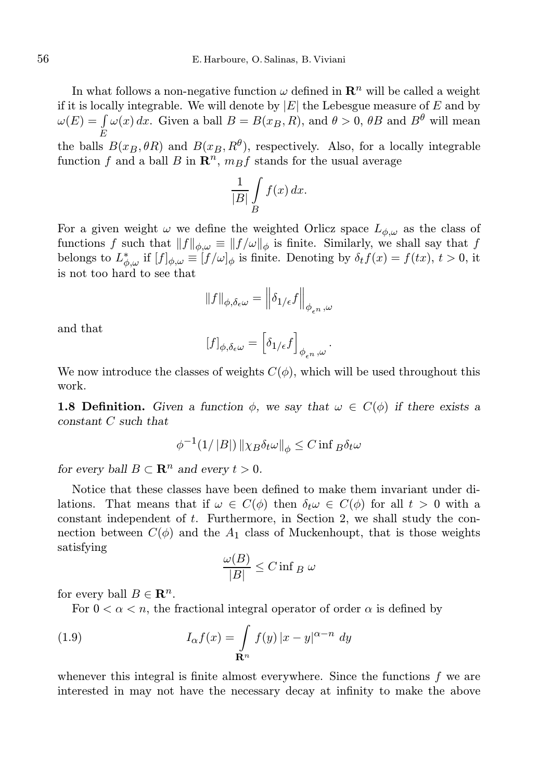In what follows a non-negative function  $\omega$  defined in  $\mathbb{R}^n$  will be called a weight if it is locally integrable. We will denote by  $|E|$  the Lebesgue measure of E and by  $\omega(E) = \int \omega(x) dx$ . Given a ball  $B = B(x_B, R)$ , and  $\theta > 0$ ,  $\theta B$  and  $B^{\theta}$  will mean the balls  $B(x_B, \theta R)$  and  $B(x_B, R^{\theta})$ , respectively. Also, for a locally integrable

function f and a ball B in  $\mathbb{R}^n$ ,  $m_B f$  stands for the usual average

$$
\frac{1}{|B|} \int\limits_B f(x) \, dx.
$$

For a given weight  $\omega$  we define the weighted Orlicz space  $L_{\phi,\omega}$  as the class of functions f such that  $||f||_{\phi,\omega} \equiv ||f/\omega||_{\phi}$  is finite. Similarly, we shall say that f belongs to  $L^*_{\phi,\omega}$  if  $[f]_{\phi,\omega} \equiv [f/\omega]_{\phi}$  is finite. Denoting by  $\delta_t f(x) = f(tx), t > 0$ , it is not too hard to see that

$$
\|f\|_{\phi,\delta_\epsilon\omega}=\Big\|\delta_{1/\epsilon}f\Big\|_{\phi_{\epsilon^n},\omega}
$$

and that

$$
[f]_{\phi,\delta_\epsilon\omega}=\Big[\delta_{1/\epsilon}f\Big]_{\phi_{\epsilon^n},\omega} \, .
$$

We now introduce the classes of weights  $C(\phi)$ , which will be used throughout this work.

**1.8 Definition.** Given a function  $\phi$ , we say that  $\omega \in C(\phi)$  if there exists a constant C such that

$$
\phi^{-1}(1/\|B\|)\|\chi_B\delta_t\omega\|_\phi\leq C\inf\limits_{B}\delta_t\omega
$$

for every ball  $B \subset \mathbf{R}^n$  and every  $t > 0$ .

Notice that these classes have been defined to make them invariant under dilations. That means that if  $\omega \in C(\phi)$  then  $\delta_t \omega \in C(\phi)$  for all  $t > 0$  with a constant independent of t. Furthermore, in Section 2, we shall study the connection between  $C(\phi)$  and the  $A_1$  class of Muckenhoupt, that is those weights satisfying

$$
\frac{\omega(B)}{|B|} \le C \inf_B \omega
$$

for every ball  $B \in \mathbf{R}^n$ .

For  $0 < \alpha < n$ , the fractional integral operator of order  $\alpha$  is defined by

(1.9) 
$$
I_{\alpha}f(x) = \int_{\mathbf{R}^n} f(y) |x - y|^{\alpha - n} dy
$$

whenever this integral is finite almost everywhere. Since the functions  $f$  we are interested in may not have the necessary decay at infinity to make the above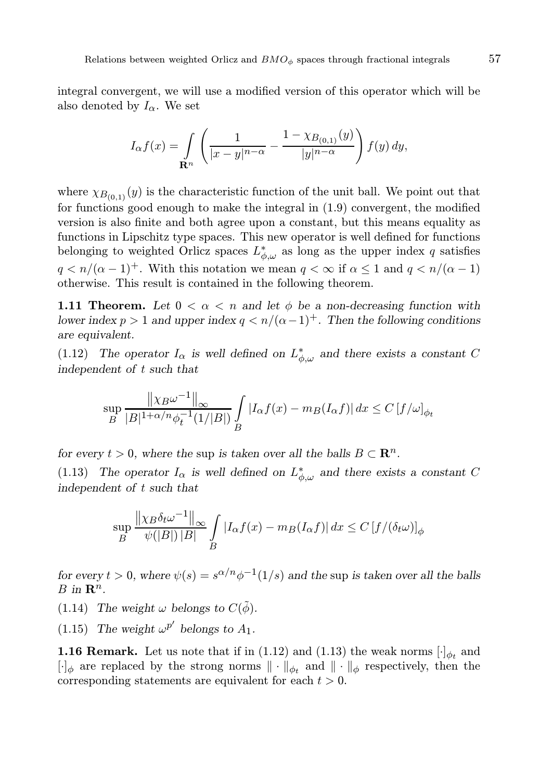integral convergent, we will use a modified version of this operator which will be also denoted by  $I_{\alpha}$ . We set

$$
I_{\alpha}f(x) = \int_{\mathbf{R}^n} \left( \frac{1}{|x-y|^{n-\alpha}} - \frac{1 - \chi_{B_{(0,1)}}(y)}{|y|^{n-\alpha}} \right) f(y) \, dy,
$$

where  $\chi_{B_{(0,1)}}(y)$  is the characteristic function of the unit ball. We point out that for functions good enough to make the integral in (1.9) convergent, the modified version is also finite and both agree upon a constant, but this means equality as functions in Lipschitz type spaces. This new operator is well defined for functions belonging to weighted Orlicz spaces  $L^*_{\phi,\omega}$  as long as the upper index q satisfies  $q < n/(\alpha - 1)^+$ . With this notation we mean  $q < \infty$  if  $\alpha \leq 1$  and  $q < n/(\alpha - 1)$ otherwise. This result is contained in the following theorem.

**1.11 Theorem.** Let  $0 < \alpha < n$  and let  $\phi$  be a non-decreasing function with lower index  $p > 1$  and upper index  $q < n/(\alpha - 1)^+$ . Then the following conditions are equivalent.

(1.12) The operator  $I_{\alpha}$  is well defined on  $L^*_{\phi,\omega}$  and there exists a constant C independent of t such that

$$
\sup_{B} \frac{\left\|\chi_{B}\omega^{-1}\right\|_{\infty}}{|B|^{1+\alpha/n}\phi_{t}^{-1}(1/|B|)} \int_{B} |I_{\alpha}f(x) - m_{B}(I_{\alpha}f)| dx \leq C \left[f/\omega\right]_{\phi_{t}}
$$

for every  $t > 0$ , where the sup is taken over all the balls  $B \subset \mathbb{R}^n$ .

(1.13) The operator  $I_{\alpha}$  is well defined on  $L^*_{\phi,\omega}$  and there exists a constant C independent of t such that

$$
\sup_{B} \frac{\left\|\chi_B \delta_t \omega^{-1}\right\|_{\infty}}{\psi(|B|) |B|} \int_{B} |I_{\alpha}f(x) - m_B(I_{\alpha}f)| dx \le C \left[f/(\delta_t \omega)\right]_{\phi}
$$

for every  $t > 0$ , where  $\psi(s) = s^{\alpha/n} \phi^{-1}(1/s)$  and the sup is taken over all the balls  $B$  in  $\mathbf{R}^n$ .

(1.14) The weight  $\omega$  belongs to  $C(\tilde{\phi})$ .

(1.15) The weight  $\omega^{p'}$  belongs to  $A_1$ .

**1.16 Remark.** Let us note that if in (1.12) and (1.13) the weak norms  $[\cdot]_{\phi_t}$  and  $[\cdot]_{\phi}$  are replaced by the strong norms  $\|\cdot\|_{\phi_t}$  and  $\|\cdot\|_{\phi}$  respectively, then the corresponding statements are equivalent for each  $t > 0$ .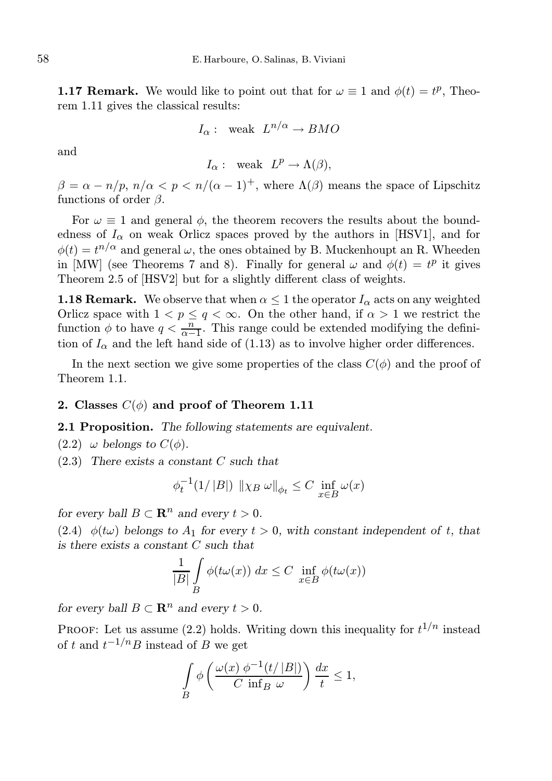**1.17 Remark.** We would like to point out that for  $\omega \equiv 1$  and  $\phi(t) = t^p$ , Theorem 1.11 gives the classical results:

$$
I_{\alpha}
$$
: weak  $L^{n/\alpha} \to BMO$ 

and

$$
I_{\alpha}
$$
: weak  $L^p \to \Lambda(\beta)$ ,

 $\beta = \alpha - \frac{n}{p}$ ,  $\frac{n}{\alpha} < p < \frac{n}{(\alpha - 1)^+}$ , where  $\Lambda(\beta)$  means the space of Lipschitz functions of order  $\beta$ .

For  $\omega \equiv 1$  and general  $\phi$ , the theorem recovers the results about the boundedness of  $I_{\alpha}$  on weak Orlicz spaces proved by the authors in [HSV1], and for  $\phi(t) = t^{n/\alpha}$  and general  $\omega$ , the ones obtained by B. Muckenhoupt an R. Wheeden in [MW] (see Theorems 7 and 8). Finally for general  $\omega$  and  $\phi(t) = t^p$  it gives Theorem 2.5 of [HSV2] but for a slightly different class of weights.

**1.18 Remark.** We observe that when  $\alpha \leq 1$  the operator  $I_{\alpha}$  acts on any weighted Orlicz space with  $1 < p \leq q < \infty$ . On the other hand, if  $\alpha > 1$  we restrict the function  $\phi$  to have  $q < \frac{n}{\alpha - 1}$ . This range could be extended modifying the definition of  $I_{\alpha}$  and the left hand side of (1.13) as to involve higher order differences.

In the next section we give some properties of the class  $C(\phi)$  and the proof of Theorem 1.1.

### 2. Classes  $C(\phi)$  and proof of Theorem 1.11

# 2.1 Proposition. The following statements are equivalent.

- (2.2)  $\omega$  belongs to  $C(\phi)$ .
- $(2.3)$  There exists a constant C such that

$$
\phi_t^{-1}(1/|B|) \| \chi_B \omega \|_{\phi_t} \le C \inf_{x \in B} \omega(x)
$$

for every ball  $B \subset \mathbb{R}^n$  and every  $t > 0$ .

(2.4)  $\phi(t\omega)$  belongs to  $A_1$  for every  $t > 0$ , with constant independent of t, that is there exists a constant C such that

$$
\frac{1}{|B|} \int\limits_B \phi(t\omega(x)) \ dx \le C \inf\limits_{x \in B} \phi(t\omega(x))
$$

for every ball  $B \subset \mathbb{R}^n$  and every  $t > 0$ .

**PROOF:** Let us assume (2.2) holds. Writing down this inequality for  $t^{1/n}$  instead of t and  $t^{-1/n}B$  instead of B we get

$$
\int\limits_B \phi\left(\frac{\omega(x) \phi^{-1}(t/|B|)}{C \inf_B \omega}\right) \frac{dx}{t} \le 1,
$$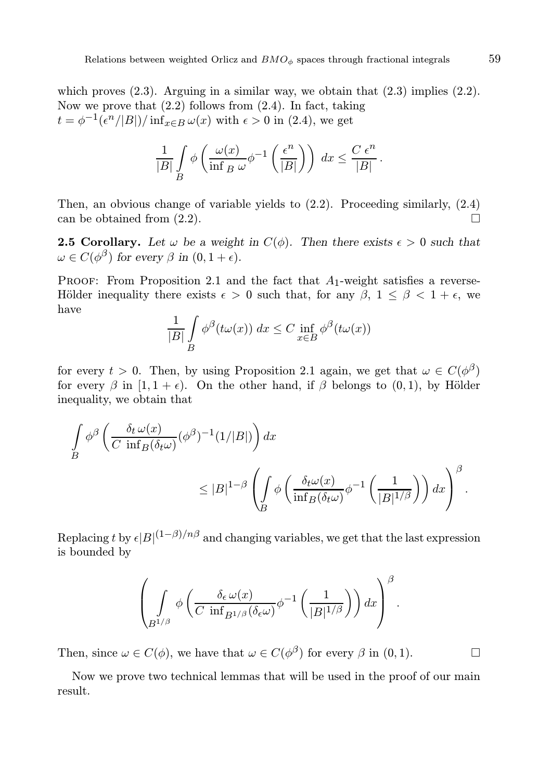which proves  $(2.3)$ . Arguing in a similar way, we obtain that  $(2.3)$  implies  $(2.2)$ . Now we prove that  $(2.2)$  follows from  $(2.4)$ . In fact, taking  $t = \phi^{-1}(\epsilon^n/|B|)/\inf_{x \in B} \omega(x)$  with  $\epsilon > 0$  in (2.4), we get

$$
\frac{1}{|B|} \int\limits_B \phi\left(\frac{\omega(x)}{\inf\limits_B \omega} \phi^{-1}\left(\frac{\epsilon^n}{|B|}\right)\right) dx \leq \frac{C \epsilon^n}{|B|}.
$$

Then, an obvious change of variable yields to (2.2). Proceeding similarly, (2.4) can be obtained from (2.2).

**2.5 Corollary.** Let  $\omega$  be a weight in  $C(\phi)$ . Then there exists  $\epsilon > 0$  such that  $\omega \in C(\phi^{\beta})$  for every  $\beta$  in  $(0, 1 + \epsilon)$ .

PROOF: From Proposition 2.1 and the fact that  $A_1$ -weight satisfies a reverse-Hölder inequality there exists  $\epsilon > 0$  such that, for any  $\beta$ ,  $1 \leq \beta < 1 + \epsilon$ , we have

$$
\frac{1}{|B|} \int\limits_B \phi^{\beta}(t\omega(x)) dx \le C \inf\limits_{x \in B} \phi^{\beta}(t\omega(x))
$$

for every  $t > 0$ . Then, by using Proposition 2.1 again, we get that  $\omega \in C(\phi^{\beta})$ for every  $\beta$  in [1, 1 +  $\epsilon$ ). On the other hand, if  $\beta$  belongs to (0, 1), by Hölder inequality, we obtain that

$$
\int_{B} \phi^{\beta} \left( \frac{\delta_t \omega(x)}{C \inf_{B}(\delta_t \omega)} (\phi^{\beta})^{-1} (1/|B|) \right) dx
$$
\n
$$
\leq |B|^{1-\beta} \left( \int_{B} \phi \left( \frac{\delta_t \omega(x)}{\inf_{B}(\delta_t \omega)} \phi^{-1} \left( \frac{1}{|B|^{1/\beta}} \right) \right) dx \right)^{\beta}.
$$

Replacing t by  $\epsilon |B|^{(1-\beta)/n\beta}$  and changing variables, we get that the last expression is bounded by

$$
\left(\int\limits_{B^{1/\beta}} \phi\left(\frac{\delta_{\epsilon}\,\omega(x)}{C\,\inf_{B^{1/\beta}}(\delta_{\epsilon}\omega)}\phi^{-1}\left(\frac{1}{|B|^{1/\beta}}\right)\right)dx\right)^{\beta}.
$$

Then, since  $\omega \in C(\phi)$ , we have that  $\omega \in C(\phi^{\beta})$  for every  $\beta$  in  $(0, 1)$ .

Now we prove two technical lemmas that will be used in the proof of our main result.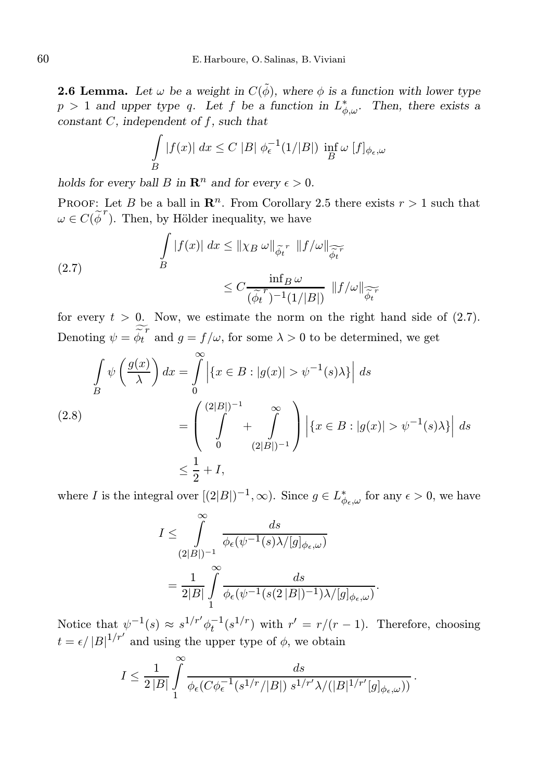**2.6 Lemma.** Let  $\omega$  be a weight in  $C(\tilde{\phi})$ , where  $\phi$  is a function with lower type  $p > 1$  and upper type q. Let f be a function in  $L^*_{\phi,\omega}$ . Then, there exists a constant  $C$ , independent of  $f$ , such that

$$
\int\limits_B |f(x)| dx \le C |B| \phi_{\epsilon}^{-1}(1/|B|) \inf\limits_B \omega [f]_{\phi_{\epsilon},\omega}
$$

holds for every ball B in  $\mathbb{R}^n$  and for every  $\epsilon > 0$ .

PROOF: Let B be a ball in  $\mathbb{R}^n$ . From Corollary 2.5 there exists  $r > 1$  such that  $\omega \in C(\widetilde{\boldsymbol{\phi}}^r)$ . Then, by Hölder inequality, we have

(2.7) 
$$
\int\limits_B |f(x)| dx \leq ||\chi_B \omega||_{\widetilde{\phi_t}^r} ||f/\omega||_{\widetilde{\widetilde{\phi_t}^r}} \leq C \frac{\inf_B \omega}{(\widetilde{\phi_t}^r)^{-1}(1/|B|)} ||f/\omega||_{\widetilde{\widetilde{\phi_t}^r}}
$$

for every  $t > 0$ . Now, we estimate the norm on the right hand side of  $(2.7)$ . Denoting  $\psi = \widetilde{\phi_t}^r$  and  $g = f/\omega$ , for some  $\lambda > 0$  to be determined, we get

$$
\int_{B} \psi\left(\frac{g(x)}{\lambda}\right) dx = \int_{0}^{\infty} \left| \left\{ x \in B : |g(x)| > \psi^{-1}(s)\lambda \right\} \right| ds
$$
\n
$$
(2.8)
$$
\n
$$
= \left( \int_{0}^{(2|B|)^{-1}} + \int_{(2|B|)^{-1}}^{\infty} \right) \left| \left\{ x \in B : |g(x)| > \psi^{-1}(s)\lambda \right\} \right| ds
$$
\n
$$
\leq \frac{1}{2} + I,
$$

where I is the integral over  $[(2|B|)^{-1}, \infty)$ . Since  $g \in L^*_{\phi_{\epsilon}, \omega}$  for any  $\epsilon > 0$ , we have

$$
I \leq \int_{(2|B|)^{-1}}^{\infty} \frac{ds}{\phi_{\epsilon}(\psi^{-1}(s)\lambda/[g]_{\phi_{\epsilon},\omega})}
$$
  
= 
$$
\frac{1}{2|B|} \int_{1}^{\infty} \frac{ds}{\phi_{\epsilon}(\psi^{-1}(s(2|B|)^{-1})\lambda/[g]_{\phi_{\epsilon},\omega})}.
$$

Notice that  $\psi^{-1}(s) \approx s^{1/r'} \phi_t^{-1}(s^{1/r})$  with  $r' = r/(r-1)$ . Therefore, choosing  $t = \epsilon / |B|^{1/r'}$  and using the upper type of  $\phi$ , we obtain

$$
I \leq \frac{1}{2\left|B\right|} \int\limits_{1}^{\infty} \frac{ds}{\phi_{\epsilon}(C\phi_{\epsilon}^{-1}(s^{1/r}/\left|B\right|)\,s^{1/r'}\lambda/( \left|B\right|^{1/r'}[g]_{\phi_{\epsilon},\omega}))}
$$

.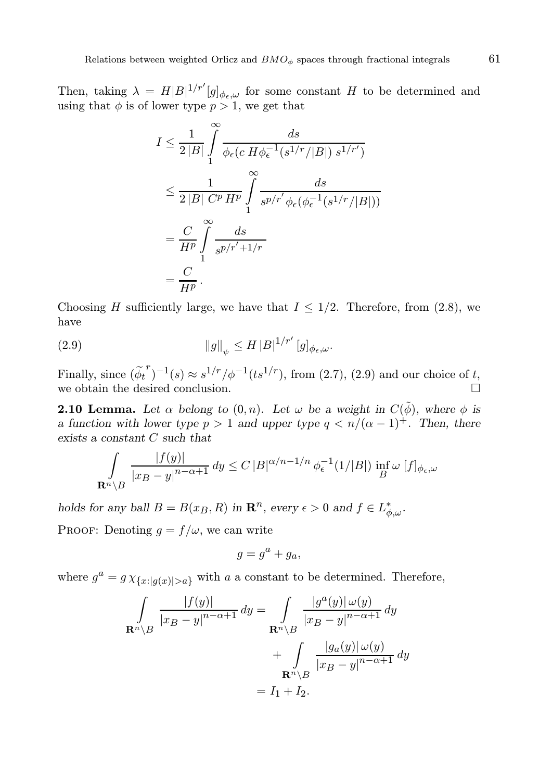Then, taking  $\lambda = H|B|^{1/r'}[g]_{\phi_{\epsilon},\omega}$  for some constant H to be determined and using that  $\phi$  is of lower type  $p > 1$ , we get that

$$
I \leq \frac{1}{2|B|} \int_{1}^{\infty} \frac{ds}{\phi_{\epsilon}(c|H\phi_{\epsilon}^{-1}(s^{1/r}/|B|) s^{1/r'})}
$$
  
\n
$$
\leq \frac{1}{2|B| C^{p} H^{p}} \int_{1}^{\infty} \frac{ds}{s^{p/r'} \phi_{\epsilon}(\phi_{\epsilon}^{-1}(s^{1/r}/|B|))}
$$
  
\n
$$
= \frac{C}{H^{p}} \int_{1}^{\infty} \frac{ds}{s^{p/r'+1/r}}
$$
  
\n
$$
= \frac{C}{H^{p}}.
$$

Choosing H sufficiently large, we have that  $I \leq 1/2$ . Therefore, from (2.8), we have

(2.9) 
$$
\|g\|_{\psi} \le H |B|^{1/r'} [g]_{\phi_{\epsilon},\omega}.
$$

Finally, since  $(\tilde{\phi_t}^r)^{-1}(s) \approx s^{1/r}/\phi^{-1}(ts^{1/r})$ , from (2.7), (2.9) and our choice of t, we obtain the desired conclusion.

**2.10 Lemma.** Let  $\alpha$  belong to  $(0, n)$ . Let  $\omega$  be a weight in  $C(\tilde{\phi})$ , where  $\phi$  is a function with lower type  $p > 1$  and upper type  $q < n/(\alpha - 1)^+$ . Then, there exists a constant C such that

$$
\int_{\mathbf{R}^n \setminus B} \frac{|f(y)|}{|x_B - y|^{n-\alpha+1}} dy \le C |B|^{\alpha/n - 1/n} \phi_{\epsilon}^{-1}(1/|B|) \inf_{B} \omega [f]_{\phi_{\epsilon},\omega}
$$

holds for any ball  $B = B(x_B, R)$  in  $\mathbb{R}^n$ , every  $\epsilon > 0$  and  $f \in L^*_{\phi, \omega}$ .

PROOF: Denoting  $q = f/\omega$ , we can write

$$
g = g^a + g_a,
$$

where  $g^a = g \chi_{\{x:|g(x)|>a\}}$  with a a constant to be determined. Therefore,

$$
\int_{\mathbf{R}^n \setminus B} \frac{|f(y)|}{|x_B - y|^{n - \alpha + 1}} dy = \int_{\mathbf{R}^n \setminus B} \frac{|g^a(y)| \omega(y)}{|x_B - y|^{n - \alpha + 1}} dy
$$

$$
+ \int_{\mathbf{R}^n \setminus B} \frac{|g_a(y)| \omega(y)}{|x_B - y|^{n - \alpha + 1}} dy
$$

$$
= I_1 + I_2.
$$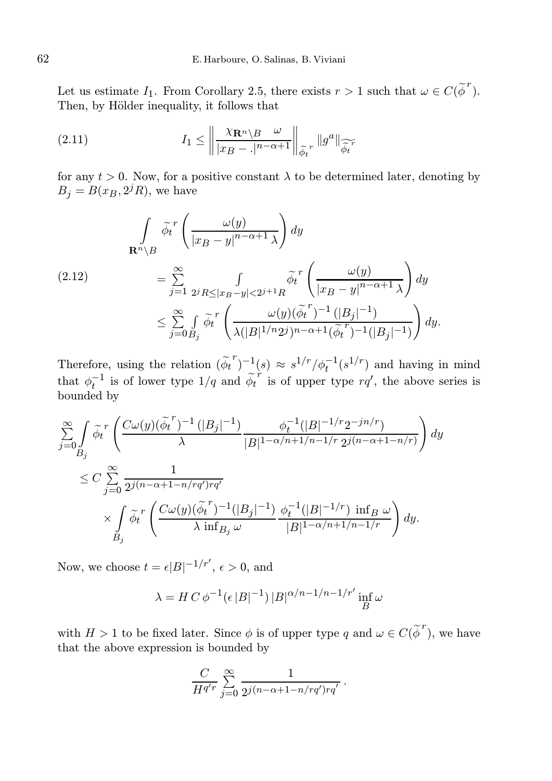Let us estimate  $I_1$ . From Corollary 2.5, there exists  $r > 1$  such that  $\omega \in C(\tilde{\phi}^r)$ . Then, by Hölder inequality, it follows that

(2.11) 
$$
I_1 \leq \left\| \frac{\chi_{\mathbf{R}^n \setminus B} \omega}{|x_B - .|^{n-\alpha+1}} \right\|_{\widetilde{\phi_t}^r} \|g^a\|_{\widetilde{\phi_t}^r}
$$

for any  $t > 0$ . Now, for a positive constant  $\lambda$  to be determined later, denoting by  $B_j = B(x_B, 2^{j}R)$ , we have

$$
\int_{\mathbf{R}^n \setminus B} \widetilde{\phi_t}^r \left( \frac{\omega(y)}{|x_B - y|^{n - \alpha + 1} \lambda} \right) dy
$$
\n
$$
= \sum_{j=1}^{\infty} \int_{2^j R \le |x_B - y| < 2^{j+1} R} \widetilde{\phi_t}^r \left( \frac{\omega(y)}{|x_B - y|^{n - \alpha + 1} \lambda} \right) dy
$$
\n
$$
\le \sum_{j=0}^{\infty} \int_{B_j} \widetilde{\phi_t}^r \left( \frac{\omega(y)(\widetilde{\phi_t}^r)^{-1} (|B_j|^{-1})}{\lambda (|B|^{1/n} 2^j)^{n - \alpha + 1} (\widetilde{\phi_t}^r)^{-1} (|B_j|^{-1})} \right) dy.
$$

Therefore, using the relation  $(\tilde{\phi_t}^r)^{-1}(s) \approx s^{1/r}/\phi_t^{-1}(s^{1/r})$  and having in mind that  $\phi_t^{-1}$  is of lower type  $1/q$  and  $\tilde{\phi_t}^r$  is of upper type  $rq'$ , the above series is bounded by

$$
\sum_{j=0}^{\infty} \int_{B_j} \widetilde{\phi_t}^r \left( \frac{C \omega(y) (\widetilde{\phi_t}^r)^{-1} (|B_j|^{-1})}{\lambda} \frac{\phi_t^{-1}(|B|^{-1/r} 2^{-jn/r})}{|B|^{1-\alpha/n+1/n-1/r} 2^{j(n-\alpha+1-n/r)}} \right) dy
$$
  

$$
\leq C \sum_{j=0}^{\infty} \frac{1}{2^{j(n-\alpha+1-n/rq')rq'}} \times \int_{B_j} \widetilde{\phi_t}^r \left( \frac{C \omega(y) (\widetilde{\phi_t}^r)^{-1} (|B_j|^{-1})}{\lambda \inf_{B_j} \omega} \frac{\phi_t^{-1}(|B|^{-1/r}) \inf_B \omega}{|B|^{1-\alpha/n+1/n-1/r}} \right) dy.
$$

Now, we choose  $t = \epsilon |B|^{-1/r'}$ ,  $\epsilon > 0$ , and

$$
\lambda = H C \phi^{-1} (\epsilon |B|^{-1}) |B|^{\alpha/n - 1/n - 1/r'} \inf_{B} \omega
$$

with  $H > 1$  to be fixed later. Since  $\phi$  is of upper type q and  $\omega \in C(\tilde{\phi}^r)$ , we have that the above expression is bounded by

$$
\frac{C}{H^{q'r}}\sum_{j=0}^{\infty}\frac{1}{2^{j(n-\alpha+1-n/rq')rq'}}.
$$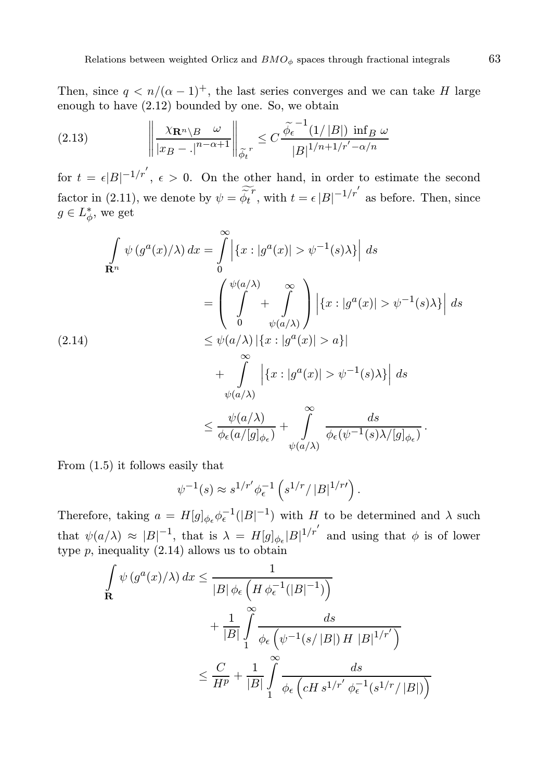Then, since  $q \lt n/(\alpha - 1)^+$ , the last series converges and we can take H large enough to have (2.12) bounded by one. So, we obtain

$$
(2.13) \qquad \qquad \left\| \frac{\chi_{\mathbf{R}^n \setminus B} \omega}{|x_B - .|^{n - \alpha + 1}} \right\|_{\tilde{\phi}_t} \leq C \frac{\tilde{\phi}_\epsilon^{-1}(1/|B|) \inf_B \omega}{|B|^{1/n + 1/r' - \alpha/n}}
$$

for  $t = \epsilon |B|^{-1/r'}$ ,  $\epsilon > 0$ . On the other hand, in order to estimate the second factor in (2.11), we denote by  $\psi = \widetilde{\phi_t}^r$ , with  $t = \epsilon |B|^{-1/r'}$  as before. Then, since  $g \in L^*_{\phi}$ , we get

$$
\int_{\mathbf{R}^n} \psi(g^a(x)/\lambda) dx = \int_0^\infty \left| \{x : |g^a(x)| > \psi^{-1}(s)\lambda \} \right| ds
$$
\n
$$
= \left( \int_0^{\psi(a/\lambda)} + \int_0^\infty \right) \left| \{x : |g^a(x)| > \psi^{-1}(s)\lambda \} \right| ds
$$
\n
$$
\leq \psi(a/\lambda) \left| \{x : |g^a(x)| > a\} \right|
$$
\n
$$
+ \int_0^\infty \left| \{x : |g^a(x)| > \psi^{-1}(s)\lambda \} \right| ds
$$
\n
$$
\leq \frac{\psi(a/\lambda)}{\phi(\phi(\lambda))} + \int_0^\infty \frac{ds}{\phi(\phi(\phi(\lambda))} ds
$$

From (1.5) it follows easily that

$$
\psi^{-1}(s) \approx s^{1/r'} \phi_\epsilon^{-1} \left( s^{1/r} / |B|^{1/r'} \right).
$$

Therefore, taking  $a = H[g]_{\phi_{\epsilon}} \phi_{\epsilon}^{-1}(|B|^{-1})$  with H to be determined and  $\lambda$  such that  $\psi(a/\lambda) \approx |B|^{-1}$ , that is  $\lambda = H[g]_{\phi_e} |B|^{1/r'}$  and using that  $\phi$  is of lower type  $p$ , inequality  $(2.14)$  allows us to obtain

$$
\int_{\mathbf{R}} \psi(g^{a}(x)/\lambda) dx \le \frac{1}{|B|\phi_{\epsilon} \left(H \phi_{\epsilon}^{-1}(|B|^{-1})\right)}
$$
\n
$$
+ \frac{1}{|B|} \int_{1}^{\infty} \frac{ds}{\phi_{\epsilon} \left(\psi^{-1}(s/|B|) H |B|^{1/r'}\right)}
$$
\n
$$
\le \frac{C}{H^{p}} + \frac{1}{|B|} \int_{1}^{\infty} \frac{ds}{\phi_{\epsilon} \left(cH s^{1/r'} \phi_{\epsilon}^{-1}(s^{1/r}/|B|)\right)}
$$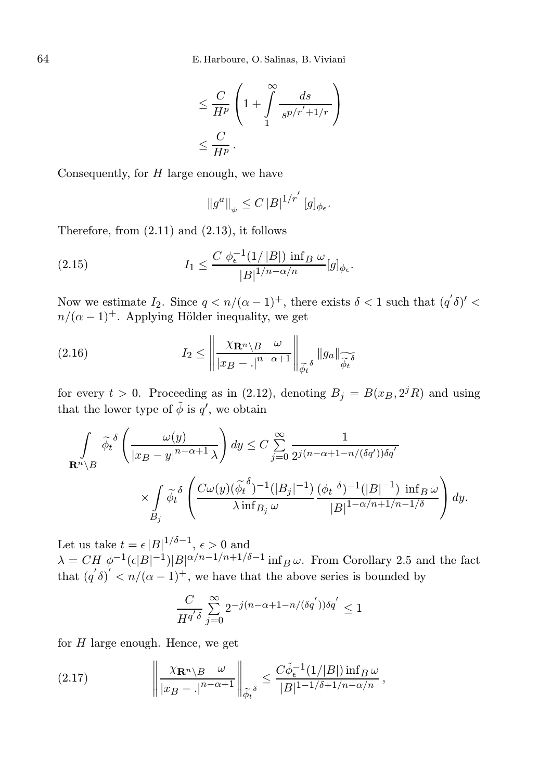$$
\leq \frac{C}{H^p} \left( 1 + \int\limits_1^\infty \frac{ds}{s^{p/r' + 1/r}} \right)
$$
  

$$
\leq \frac{C}{H^p}.
$$

Consequently, for  $H$  large enough, we have

$$
\left\|g^{a}\right\|_{\psi}\leq C\left|B\right|^{1/r^{'}}[g]_{\phi_{\epsilon}}.
$$

Therefore, from (2.11) and (2.13), it follows

(2.15) 
$$
I_1 \leq \frac{C \phi_{\epsilon}^{-1}(1/|B|) \inf_B \omega}{|B|^{1/n-\alpha/n}} [g]_{\phi_{\epsilon}}.
$$

Now we estimate  $I_2$ . Since  $q < n/(\alpha - 1)^+$ , there exists  $\delta < 1$  such that  $(q'\delta)' <$  $n/(\alpha - 1)^+$ . Applying Hölder inequality, we get

(2.16) 
$$
I_2 \leq \left\| \frac{\chi_{\mathbf{R}^n \setminus B} \omega}{|x_B - .|^{n-\alpha+1}} \right\|_{\widetilde{\phi_t}^\delta} \|g_a\|_{\widetilde{\widetilde{\phi_t}^\delta}}
$$

for every  $t > 0$ . Proceeding as in (2.12), denoting  $B_j = B(x_B, 2^{j}R)$  and using that the lower type of  $\tilde{\phi}$  is  $q'$ , we obtain

$$
\int_{\mathbf{R}^n \setminus B} \tilde{\phi}_t^{\delta} \left( \frac{\omega(y)}{|x_B - y|^{n - \alpha + 1} \lambda} \right) dy \le C \sum_{j=0}^{\infty} \frac{1}{2^{j(n - \alpha + 1 - n/(\delta q'))\delta q'}}
$$

$$
\times \int_{B_j} \tilde{\phi}_t^{\delta} \left( \frac{C \omega(y)(\tilde{\phi}_t^{\delta})^{-1} (|B_j|^{-1}) (\phi_t^{\delta})^{-1} (|B|^{-1}) \inf_B \omega}{\lambda \inf_{B_j} \omega} \right) dy.
$$

Let us take  $t = \epsilon |B|^{1/\delta - 1}$ ,  $\epsilon > 0$  and  $\lambda = CH \phi^{-1}(\epsilon |B|^{-1})|B|^{\alpha/n-1/n+1/\delta-1}$  inf<sub>B</sub>  $\omega$ . From Corollary 2.5 and the fact that  $(q' \delta)' < n/(\alpha - 1)^+$ , we have that the above series is bounded by

$$
\frac{C}{H^{q' \delta}} \sum_{j=0}^{\infty} 2^{-j(n-\alpha+1-n/(\delta q'))\delta q'} \le 1
$$

for  $H$  large enough. Hence, we get

(2.17) 
$$
\left\| \frac{\chi_{\mathbf{R}^n \setminus B} \omega}{|x_B - |^{n - \alpha + 1}} \right\|_{\widetilde{\phi}_t} \leq \frac{C \widetilde{\phi}_\epsilon^{-1}(1/|B|) \inf_B \omega}{|B|^{1 - 1/\delta + 1/n - \alpha/n}},
$$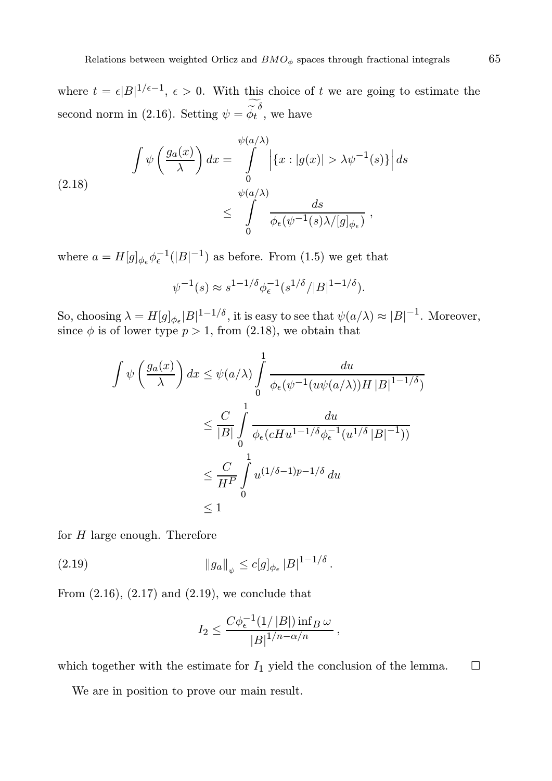where  $t = \epsilon |B|^{1/\epsilon - 1}$ ,  $\epsilon > 0$ . With this choice of t we are going to estimate the second norm in (2.16). Setting  $\psi = \widetilde{\phi}_t^{\delta}$ , we have

(2.18) 
$$
\int \psi \left( \frac{g_a(x)}{\lambda} \right) dx = \int_0^{\psi(a/\lambda)} \left| \{x : |g(x)| > \lambda \psi^{-1}(s)\} \right| ds
$$

$$
\leq \int_0^{\psi(a/\lambda)} \frac{ds}{\phi_{\epsilon}(\psi^{-1}(s)\lambda/[g]_{\phi_{\epsilon}})},
$$

where  $a = H[g]_{\phi_{\epsilon}} \phi_{\epsilon}^{-1}(|B|^{-1})$  as before. From (1.5) we get that

$$
\psi^{-1}(s) \approx s^{1-1/\delta} \phi_{\epsilon}^{-1} (s^{1/\delta}/|B|^{1-1/\delta}).
$$

So, choosing  $\lambda = H[g]_{\phi_e} |B|^{1-1/\delta}$ , it is easy to see that  $\psi(a/\lambda) \approx |B|^{-1}$ . Moreover, since  $\phi$  is of lower type  $p > 1$ , from (2.18), we obtain that

$$
\int \psi \left( \frac{g_a(x)}{\lambda} \right) dx \leq \psi(a/\lambda) \int_0^1 \frac{du}{\phi_{\epsilon}(\psi^{-1}(u\psi(a/\lambda))H|B|^{1-1/\delta})}
$$
  

$$
\leq \frac{C}{|B|} \int_0^1 \frac{du}{\phi_{\epsilon}(cHu^{1-1/\delta}\phi_{\epsilon}^{-1}(u^{1/\delta}|B|^{-1}))}
$$
  

$$
\leq \frac{C}{H^P} \int_0^1 u^{(1/\delta-1)p-1/\delta} du
$$
  

$$
\leq 1
$$

for  $H$  large enough. Therefore

(2.19) 
$$
\|g_a\|_{\psi} \le c[g]_{\phi_{\epsilon}} |B|^{1-1/\delta}.
$$

From  $(2.16)$ ,  $(2.17)$  and  $(2.19)$ , we conclude that

$$
I_2 \le \frac{C\phi_\epsilon^{-1}(1/|B|)\inf_B \omega}{|B|^{1/n-\alpha/n}},
$$

which together with the estimate for  $I_1$  yield the conclusion of the lemma.  $\Box$ 

We are in position to prove our main result.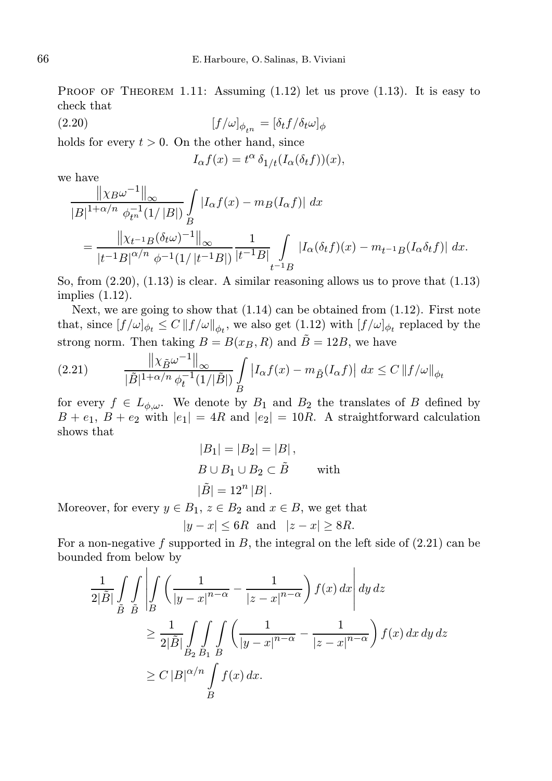PROOF OF THEOREM 1.11: Assuming  $(1.12)$  let us prove  $(1.13)$ . It is easy to check that

(2.20)  $[f/\omega]_{\phi_{\ell n}} = [\delta_t f/\delta_t \omega]_{\phi}$ 

holds for every  $t > 0$ . On the other hand, since

$$
I_{\alpha}f(x) = t^{\alpha} \, \delta_{1/t} (I_{\alpha}(\delta_t f))(x),
$$

we have

$$
\frac{\|\chi_B\omega^{-1}\|_{\infty}}{|B|^{1+\alpha/n}} \frac{\|\chi_B\omega^{-1}\|_{\infty}}{\phi_{t^n}^{-1}(1/|B|)} \int_{B} |I_{\alpha}f(x) - m_B(I_{\alpha}f)| dx
$$
  
= 
$$
\frac{\|\chi_{t^{-1}B}(\delta_t\omega)^{-1}\|_{\infty}}{|t^{-1}B|^{\alpha/n}} \frac{1}{\phi^{-1}(1/|t^{-1}B|)} \int_{t^{-1}B} |I_{\alpha}(\delta_t f)(x) - m_{t^{-1}B}(I_{\alpha}\delta_t f)| dx.
$$

So, from  $(2.20)$ ,  $(1.13)$  is clear. A similar reasoning allows us to prove that  $(1.13)$ implies (1.12).

Next, we are going to show that  $(1.14)$  can be obtained from  $(1.12)$ . First note that, since  $[f/\omega]_{\phi_t} \leq C ||f/\omega||_{\phi_t}$ , we also get  $(1.12)$  with  $[f/\omega]_{\phi_t}$  replaced by the strong norm. Then taking  $B = B(x_B, R)$  and  $\tilde{B} = 12B$ , we have  $\mathbf{u}$ 

(2.21) 
$$
\frac{\| \chi_{\tilde{B}} \omega^{-1} \|_{\infty}}{|\tilde{B}|^{1+\alpha/n} \phi_t^{-1}(1/|\tilde{B}|)} \int_{B} |I_{\alpha}f(x) - m_{\tilde{B}}(I_{\alpha}f)| dx \leq C \| f/\omega \|_{\phi_t}
$$

for every  $f \in L_{\phi,\omega}$ . We denote by  $B_1$  and  $B_2$  the translates of B defined by  $B + e_1$ ,  $B + e_2$  with  $|e_1| = 4R$  and  $|e_2| = 10R$ . A straightforward calculation shows that

$$
|B_1| = |B_2| = |B|,
$$
  
\n
$$
B \cup B_1 \cup B_2 \subset \tilde{B} \qquad \text{with}
$$
  
\n
$$
|\tilde{B}| = 12^n |B|.
$$

Moreover, for every  $y \in B_1$ ,  $z \in B_2$  and  $x \in B$ , we get that

$$
|y - x| \le 6R \quad \text{and} \quad |z - x| \ge 8R.
$$

For a non-negative f supported in  $B$ , the integral on the left side of  $(2.21)$  can be bounded from below by

$$
\frac{1}{2|\tilde{B}|} \int_{\tilde{B}} \int_{\tilde{B}} \int_{\tilde{B}} \left( \frac{1}{|y - x|^{n - \alpha}} - \frac{1}{|z - x|^{n - \alpha}} \right) f(x) dx \, dy \, dz
$$
\n
$$
\geq \frac{1}{2|\tilde{B}|} \int_{B_2} \int_{B_1} \int_{B} \left( \frac{1}{|y - x|^{n - \alpha}} - \frac{1}{|z - x|^{n - \alpha}} \right) f(x) dx \, dy \, dz
$$
\n
$$
\geq C |B|^{\alpha/n} \int_{B} f(x) dx.
$$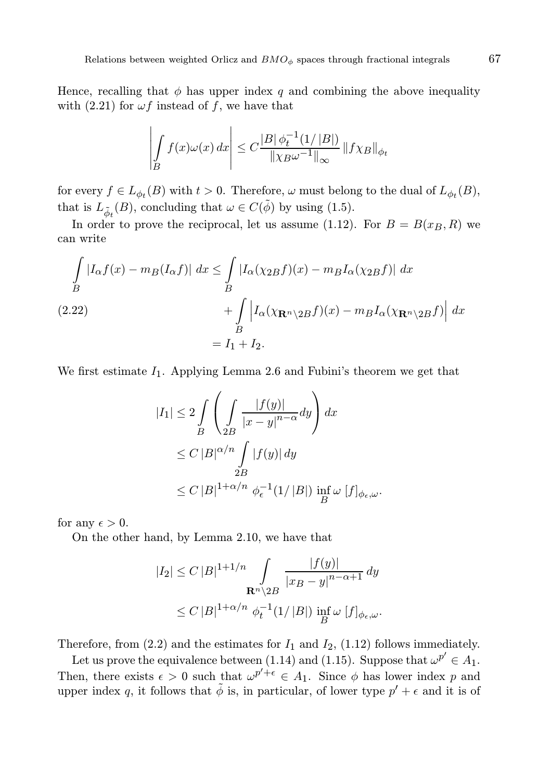Hence, recalling that  $\phi$  has upper index q and combining the above inequality with (2.21) for  $\omega f$  instead of f, we have that

$$
\left| \int\limits_B f(x)\omega(x) \, dx \right| \leq C \frac{|B| \phi_t^{-1}(1/|B|)}{\|\chi_B\omega^{-1}\|_\infty} \, \|f\chi_B\|_{\phi_t}
$$

for every  $f \in L_{\phi_t}(B)$  with  $t > 0$ . Therefore,  $\omega$  must belong to the dual of  $L_{\phi_t}(B)$ , that is  $L_{\tilde{\phi}_t}(B)$ , concluding that  $\omega \in C(\tilde{\phi})$  by using (1.5).

In order to prove the reciprocal, let us assume (1.12). For  $B = B(x_B, R)$  we can write

$$
\int_{B} |I_{\alpha}f(x) - m_{B}(I_{\alpha}f)| dx \le \int_{B} |I_{\alpha}(\chi_{2B}f)(x) - m_{B}I_{\alpha}(\chi_{2B}f)| dx
$$
  
(2.22)
$$
+ \int_{B} |I_{\alpha}(\chi_{\mathbf{R}^{n}\backslash 2B}f)(x) - m_{B}I_{\alpha}(\chi_{\mathbf{R}^{n}\backslash 2B}f)| dx
$$

$$
= I_{1} + I_{2}.
$$

We first estimate  $I_1$ . Applying Lemma 2.6 and Fubini's theorem we get that

$$
|I_1| \le 2 \int\limits_B \left( \int\limits_{2B} \frac{|f(y)|}{|x - y|^{n - \alpha}} dy \right) dx
$$
  
\n
$$
\le C |B|^{\alpha/n} \int\limits_{2B} |f(y)| dy
$$
  
\n
$$
\le C |B|^{1 + \alpha/n} \phi_{\epsilon}^{-1}(1/|B|) \inf\limits_B \omega [f]_{\phi_{\epsilon},\omega}.
$$

for any  $\epsilon > 0$ .

On the other hand, by Lemma 2.10, we have that

$$
|I_2| \le C |B|^{1+1/n} \int_{\mathbf{R}^n \setminus 2B} \frac{|f(y)|}{|x_B - y|^{n-\alpha+1}} dy
$$
  

$$
\le C |B|^{1+\alpha/n} \phi_t^{-1}(1/|B|) \inf_B \omega |f|_{\phi_{\epsilon},\omega}.
$$

Therefore, from  $(2.2)$  and the estimates for  $I_1$  and  $I_2$ ,  $(1.12)$  follows immediately.

Let us prove the equivalence between (1.14) and (1.15). Suppose that  $\omega^{p'} \in A_1$ . Then, there exists  $\epsilon > 0$  such that  $\omega^{p' + \epsilon} \in A_1$ . Since  $\phi$  has lower index p and upper index q, it follows that  $\tilde{\phi}$  is, in particular, of lower type  $p' + \epsilon$  and it is of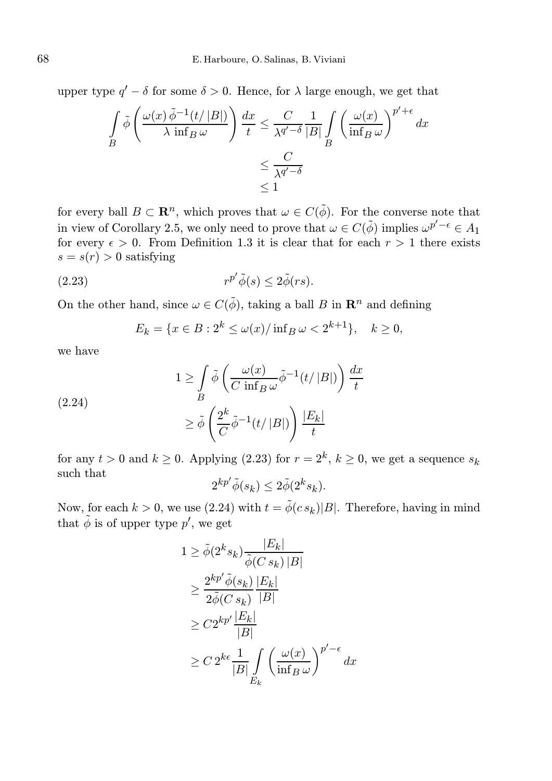upper type  $q' - \delta$  for some  $\delta > 0$ . Hence, for  $\lambda$  large enough, we get that

$$
\int_{B} \tilde{\phi} \left( \frac{\omega(x) \tilde{\phi}^{-1}(t/|B|)}{\lambda \inf_{B} \omega} \right) \frac{dx}{t} \le \frac{C}{\lambda^{q'-\delta}} \frac{1}{|B|} \int_{B} \left( \frac{\omega(x)}{\inf_{B} \omega} \right)^{p'+\epsilon} dx
$$

$$
\le \frac{C}{\lambda^{q'-\delta}}
$$

$$
\le 1
$$

for every ball  $B \subset \mathbb{R}^n$ , which proves that  $\omega \in C(\tilde{\phi})$ . For the converse note that in view of Corollary 2.5, we only need to prove that  $\omega \in C(\tilde{\phi})$  implies  $\omega^{p'-\epsilon} \in A_1$ for every  $\epsilon > 0$ . From Definition 1.3 it is clear that for each  $r > 1$  there exists  $s = s(r) > 0$  satisfying

(2.23) 
$$
r^{p'}\tilde{\phi}(s) \leq 2\tilde{\phi}(rs).
$$

On the other hand, since  $\omega \in C(\tilde{\phi})$ , taking a ball B in  $\mathbb{R}^n$  and defining

$$
E_k = \{ x \in B : 2^k \le \omega(x) / \inf_B \omega < 2^{k+1} \}, \quad k \ge 0,
$$

we have

(2.24)  
\n
$$
1 \ge \int_{B} \tilde{\phi} \left( \frac{\omega(x)}{C \inf_{B} \omega} \tilde{\phi}^{-1}(t/|B|) \right) \frac{dx}{t}
$$
\n
$$
\ge \tilde{\phi} \left( \frac{2^k}{C} \tilde{\phi}^{-1}(t/|B|) \right) \frac{|E_k|}{t}
$$

for any  $t > 0$  and  $k \ge 0$ . Applying (2.23) for  $r = 2<sup>k</sup>$ ,  $k \ge 0$ , we get a sequence  $s_k$ such that

$$
2^{kp'}\tilde{\phi}(s_k) \le 2\tilde{\phi}(2^k s_k).
$$

Now, for each  $k > 0$ , we use (2.24) with  $t = \tilde{\phi}(c s_k)|B|$ . Therefore, having in mind that  $\tilde{\phi}$  is of upper type  $p'$ , we get

$$
1 \geq \tilde{\phi}(2^{k}s_{k}) \frac{|E_{k}|}{\tilde{\phi}(C s_{k}) |B|}
$$
  
\n
$$
\geq \frac{2^{kp'} \tilde{\phi}(s_{k})}{2\tilde{\phi}(C s_{k})} \frac{|E_{k}|}{|B|}
$$
  
\n
$$
\geq C2^{kp'} \frac{|E_{k}|}{|B|}
$$
  
\n
$$
\geq C2^{k\epsilon} \frac{1}{|B|} \int_{E_{k}} \left(\frac{\omega(x)}{\inf_{B} \omega}\right)^{p'-\epsilon} dx
$$